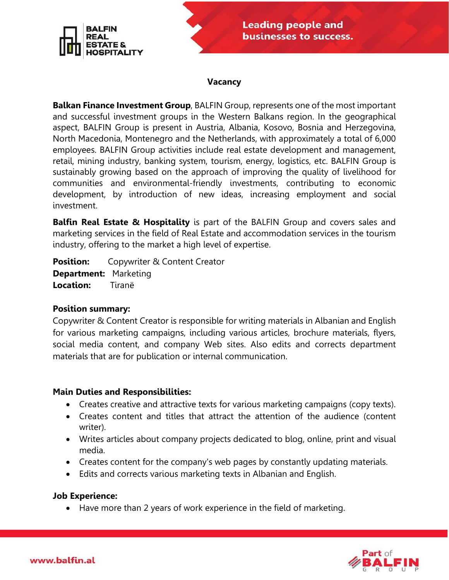

#### **Vacancy**

**Balkan Finance Investment Group**, BALFIN Group, represents one of the most important and successful investment groups in the Western Balkans region. In the geographical aspect, BALFIN Group is present in Austria, Albania, Kosovo, Bosnia and Herzegovina, North Macedonia, Montenegro and the Netherlands, with approximately a total of 6,000 employees. BALFIN Group activities include real estate development and management, retail, mining industry, banking system, tourism, energy, logistics, etc. BALFIN Group is sustainably growing based on the approach of improving the quality of livelihood for communities and environmental-friendly investments, contributing to economic development, by introduction of new ideas, increasing employment and social investment.

**Balfin Real Estate & Hospitality** is part of the BALFIN Group and covers sales and marketing services in the field of Real Estate and accommodation services in the tourism industry, offering to the market a high level of expertise.

**Position:** Copywriter & Content Creator **Department:** Marketing **Location:** Tiranë

### **Position summary:**

Copywriter & Content Creator is responsible for writing materials in Albanian and English for various marketing campaigns, including various articles, brochure materials, flyers, social media content, and company Web sites. Also edits and corrects department materials that are for publication or internal communication.

### **Main Duties and Responsibilities:**

- Creates creative and attractive texts for various marketing campaigns (copy texts).
- Creates content and titles that attract the attention of the audience (content writer).
- Writes articles about company projects dedicated to blog, online, print and visual media.
- Creates content for the company's web pages by constantly updating materials.
- Edits and corrects various marketing texts in Albanian and English.

### **Job Experience:**

• Have more than 2 years of work experience in the field of marketing.